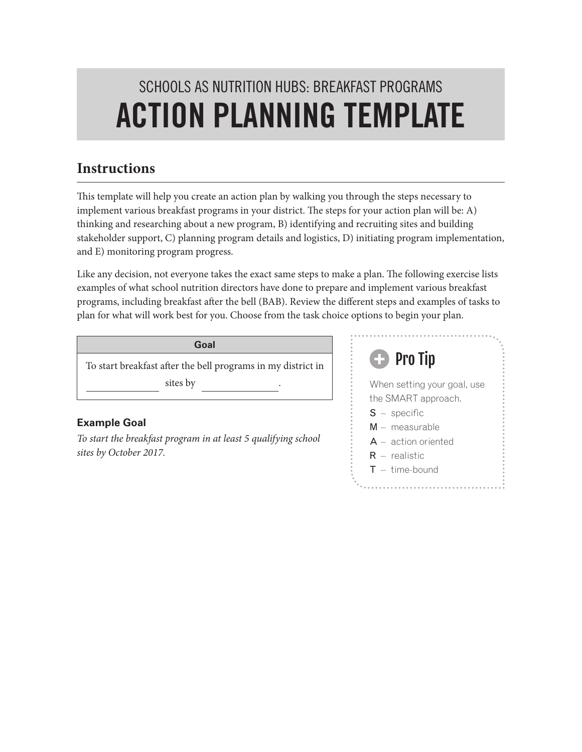# SCHOOLS AS NUTRITION HUBS: BREAKFAST PROGRAMS ACTION PLANNING TEMPLATE

### **Instructions**

This template will help you create an action plan by walking you through the steps necessary to implement various breakfast programs in your district. The steps for your action plan will be: A) thinking and researching about a new program, B) identifying and recruiting sites and building stakeholder support, C) planning program details and logistics, D) initiating program implementation, and E) monitoring program progress.

Like any decision, not everyone takes the exact same steps to make a plan. The following exercise lists examples of what school nutrition directors have done to prepare and implement various breakfast programs, including breakfast after the bell (BAB). Review the different steps and examples of tasks to plan for what will work best for you. Choose from the task choice options to begin your plan.

**Goal**

To start breakfast after the bell programs in my district in sites by

#### **Example Goal**

*To start the breakfast program in at least 5 qualifying school sites by October 2017.*

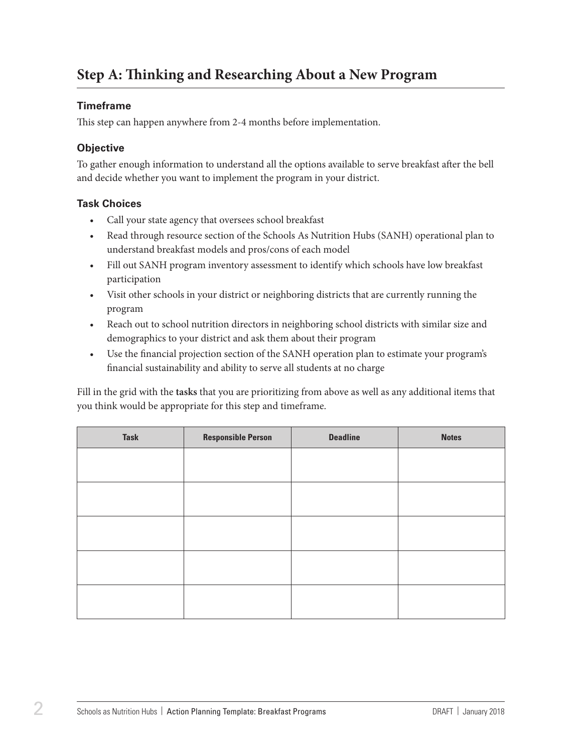## **Step A: Thinking and Researching About a New Program**

#### **Timeframe**

This step can happen anywhere from 2-4 months before implementation.

#### **Objective**

To gather enough information to understand all the options available to serve breakfast after the bell and decide whether you want to implement the program in your district.

#### **Task Choices**

- • Call your state agency that oversees school breakfast
- Read through resource section of the Schools As Nutrition Hubs (SANH) operational plan to understand breakfast models and pros/cons of each model
- • Fill out SANH program inventory assessment to identify which schools have low breakfast participation
- • Visit other schools in your district or neighboring districts that are currently running the program
- Reach out to school nutrition directors in neighboring school districts with similar size and demographics to your district and ask them about their program
- • Use the financial projection section of the SANH operation plan to estimate your program's financial sustainability and ability to serve all students at no charge

| <b>Task</b> | <b>Responsible Person</b> | <b>Deadline</b> | <b>Notes</b> |
|-------------|---------------------------|-----------------|--------------|
|             |                           |                 |              |
|             |                           |                 |              |
|             |                           |                 |              |
|             |                           |                 |              |
|             |                           |                 |              |
|             |                           |                 |              |
|             |                           |                 |              |
|             |                           |                 |              |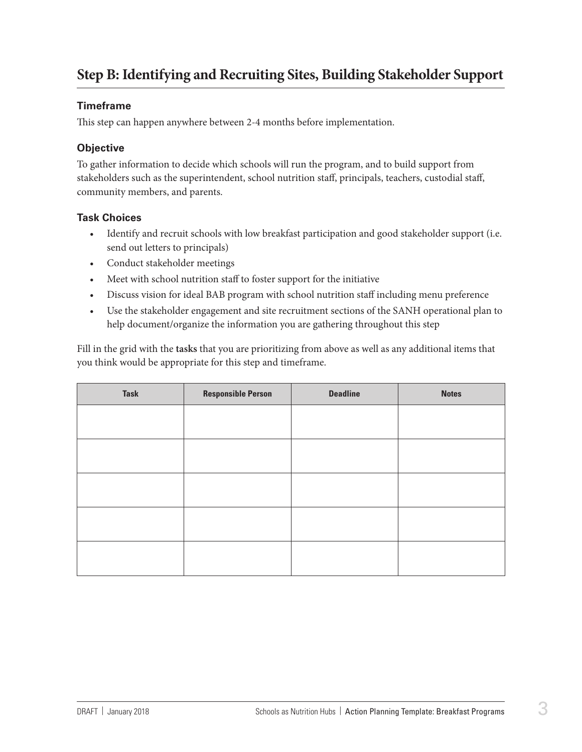## **Step B: Identifying and Recruiting Sites, Building Stakeholder Support**

#### **Timeframe**

This step can happen anywhere between 2-4 months before implementation.

#### **Objective**

To gather information to decide which schools will run the program, and to build support from stakeholders such as the superintendent, school nutrition staff, principals, teachers, custodial staff, community members, and parents.

#### **Task Choices**

- Identify and recruit schools with low breakfast participation and good stakeholder support (i.e. send out letters to principals)
- • Conduct stakeholder meetings
- Meet with school nutrition staff to foster support for the initiative
- Discuss vision for ideal BAB program with school nutrition staff including menu preference
- Use the stakeholder engagement and site recruitment sections of the SANH operational plan to help document/organize the information you are gathering throughout this step

| <b>Task</b> | <b>Responsible Person</b> | <b>Deadline</b> | <b>Notes</b> |
|-------------|---------------------------|-----------------|--------------|
|             |                           |                 |              |
|             |                           |                 |              |
|             |                           |                 |              |
|             |                           |                 |              |
|             |                           |                 |              |
|             |                           |                 |              |
|             |                           |                 |              |
|             |                           |                 |              |
|             |                           |                 |              |
|             |                           |                 |              |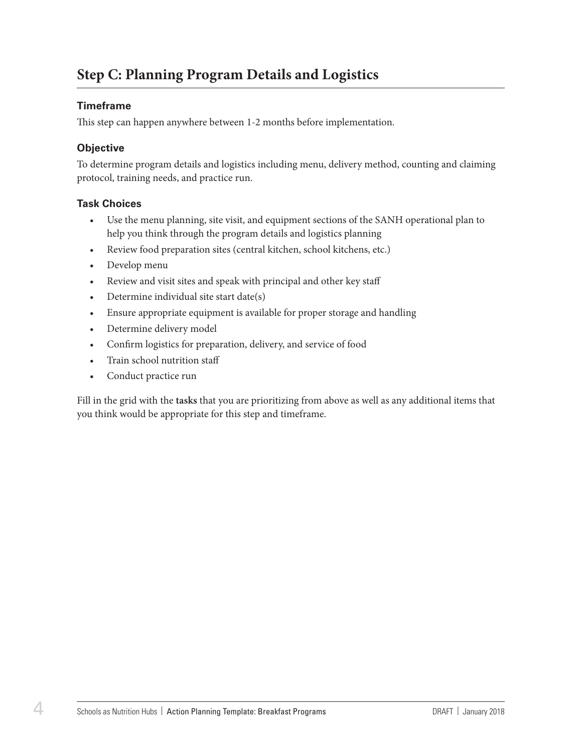### **Step C: Planning Program Details and Logistics**

#### **Timeframe**

This step can happen anywhere between 1-2 months before implementation.

#### **Objective**

To determine program details and logistics including menu, delivery method, counting and claiming protocol, training needs, and practice run.

#### **Task Choices**

- • Use the menu planning, site visit, and equipment sections of the SANH operational plan to help you think through the program details and logistics planning
- Review food preparation sites (central kitchen, school kitchens, etc.)
- Develop menu
- Review and visit sites and speak with principal and other key staff
- Determine individual site start date(s)
- Ensure appropriate equipment is available for proper storage and handling
- Determine delivery model
- • Confirm logistics for preparation, delivery, and service of food
- Train school nutrition staff
- • Conduct practice run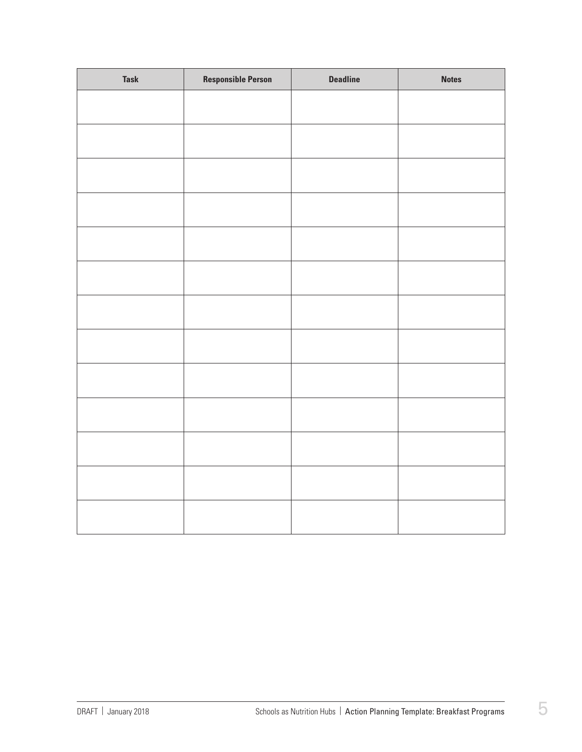| <b>Task</b> | <b>Responsible Person</b> | <b>Deadline</b> | <b>Notes</b> |
|-------------|---------------------------|-----------------|--------------|
|             |                           |                 |              |
|             |                           |                 |              |
|             |                           |                 |              |
|             |                           |                 |              |
|             |                           |                 |              |
|             |                           |                 |              |
|             |                           |                 |              |
|             |                           |                 |              |
|             |                           |                 |              |
|             |                           |                 |              |
|             |                           |                 |              |
|             |                           |                 |              |
|             |                           |                 |              |
|             |                           |                 |              |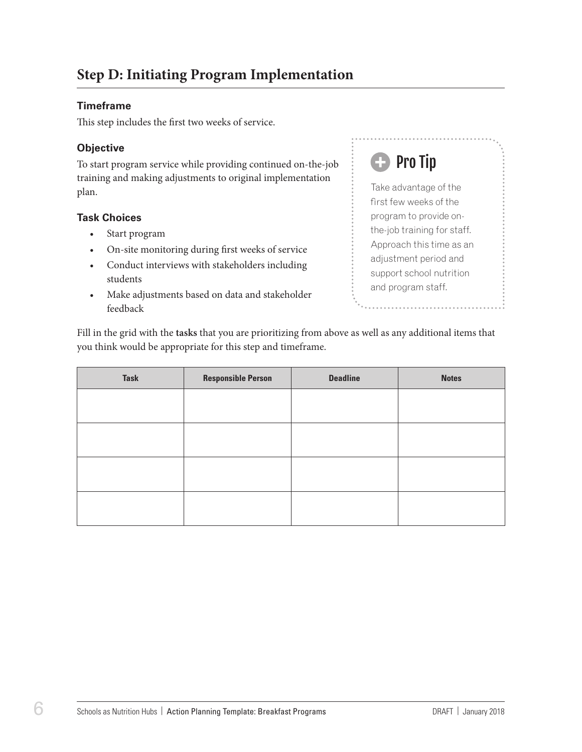#### **Timeframe**

This step includes the first two weeks of service.

#### **Objective**

To start program service while providing continued on-the-job training and making adjustments to original implementation plan.

#### **Task Choices**

- Start program
- On-site monitoring during first weeks of service
- Conduct interviews with stakeholders including students
- • Make adjustments based on data and stakeholder feedback

## Pro Tip

Take advantage of the first few weeks of the program to provide onthe-job training for staff. Approach this time as an adjustment period and support school nutrition and program staff.

| <b>Task</b> | <b>Responsible Person</b> | <b>Deadline</b> | <b>Notes</b> |
|-------------|---------------------------|-----------------|--------------|
|             |                           |                 |              |
|             |                           |                 |              |
|             |                           |                 |              |
|             |                           |                 |              |
|             |                           |                 |              |
|             |                           |                 |              |
|             |                           |                 |              |
|             |                           |                 |              |